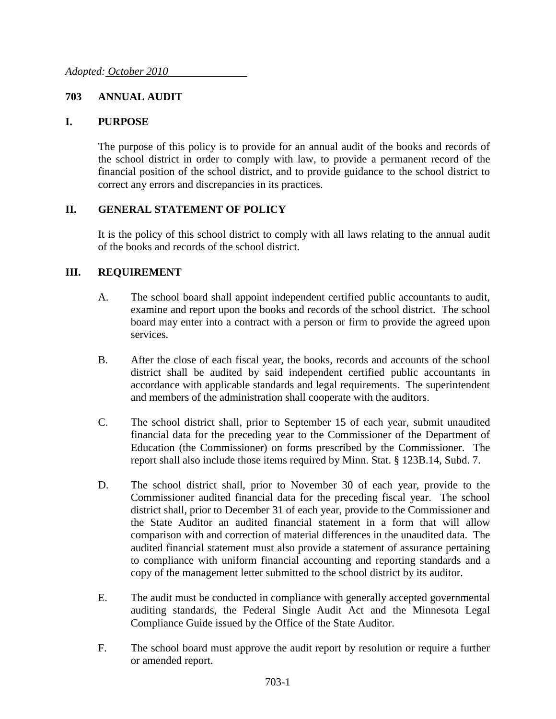## **703 ANNUAL AUDIT**

## **I. PURPOSE**

The purpose of this policy is to provide for an annual audit of the books and records of the school district in order to comply with law, to provide a permanent record of the financial position of the school district, and to provide guidance to the school district to correct any errors and discrepancies in its practices.

## **II. GENERAL STATEMENT OF POLICY**

It is the policy of this school district to comply with all laws relating to the annual audit of the books and records of the school district.

## **III. REQUIREMENT**

- A. The school board shall appoint independent certified public accountants to audit, examine and report upon the books and records of the school district. The school board may enter into a contract with a person or firm to provide the agreed upon services.
- B. After the close of each fiscal year, the books, records and accounts of the school district shall be audited by said independent certified public accountants in accordance with applicable standards and legal requirements. The superintendent and members of the administration shall cooperate with the auditors.
- C. The school district shall, prior to September 15 of each year, submit unaudited financial data for the preceding year to the Commissioner of the Department of Education (the Commissioner) on forms prescribed by the Commissioner. The report shall also include those items required by Minn. Stat. § 123B.14, Subd. 7.
- D. The school district shall, prior to November 30 of each year, provide to the Commissioner audited financial data for the preceding fiscal year. The school district shall, prior to December 31 of each year, provide to the Commissioner and the State Auditor an audited financial statement in a form that will allow comparison with and correction of material differences in the unaudited data. The audited financial statement must also provide a statement of assurance pertaining to compliance with uniform financial accounting and reporting standards and a copy of the management letter submitted to the school district by its auditor.
- E. The audit must be conducted in compliance with generally accepted governmental auditing standards, the Federal Single Audit Act and the Minnesota Legal Compliance Guide issued by the Office of the State Auditor.
- F. The school board must approve the audit report by resolution or require a further or amended report.